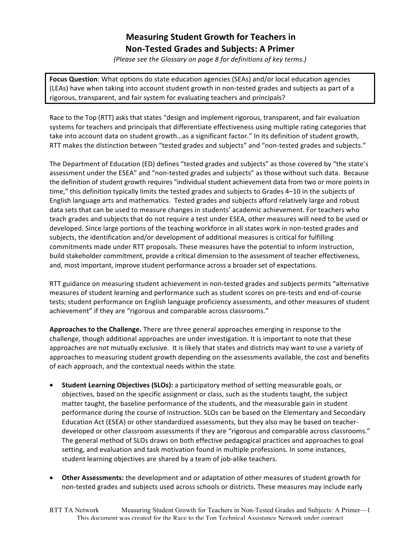# **Measuring Student Growth for Teachers in Non-Tested Grades and Subjects: A Primer**

*(Please'see'the'Glossary'on'page'8 for'definitions'of'key'terms.)*

Focus Question: What options do state education agencies (SEAs) and/or local education agencies (LEAs) have when taking into account student growth in non-tested grades and subjects as part of a rigorous, transparent, and fair system for evaluating teachers and principals?

Race to the Top (RTT) asks that states "design and implement rigorous, transparent, and fair evaluation systems for teachers and principals that differentiate effectiveness using multiple rating categories that take into account data on student growth...as a significant factor." In its definition of student growth, RTT makes the distinction between "tested grades and subjects" and "non-tested grades and subjects."

The Department of Education (ED) defines "tested grades and subjects" as those covered by "the state's assessment under the ESEA" and "non-tested grades and subjects" as those without such data. Because the definition of student growth requires "individual student achievement data from two or more points in time," this definition typically limits the tested grades and subjects to Grades 4–10 in the subjects of English language arts and mathematics. Tested grades and subjects afford relatively large and robust data sets that can be used to measure changes in students' academic achievement. For teachers who teach grades and subjects that do not require a test under ESEA, other measures will need to be used or developed. Since large portions of the teaching workforce in all states work in non-tested grades and subjects, the identification and/or development of additional measures is critical for fulfilling commitments made under RTT proposals. These measures have the potential to inform instruction, build stakeholder commitment, provide a critical dimension to the assessment of teacher effectiveness, and, most important, improve student performance across a broader set of expectations.

RTT guidance on measuring student achievement in non-tested grades and subjects permits "alternative measures of student learning and performance such as student scores on pre-tests and end-of-course tests; student performance on English language proficiency assessments, and other measures of student achievement" if they are "rigorous and comparable across classrooms."

**Approaches to the Challenge.** There are three general approaches emerging in response to the challenge, though additional approaches are under investigation. It is important to note that these approaches are not mutually exclusive. It is likely that states and districts may want to use a variety of approaches to measuring student growth depending on the assessments available, the cost and benefits of each approach, and the contextual needs within the state.

- **Student Learning Objectives (SLOs):** a participatory method of setting measurable goals, or objectives, based on the specific assignment or class, such as the students taught, the subject matter taught, the baseline performance of the students, and the measurable gain in student performance during the course of instruction. SLOs can be based on the Elementary and Secondary Education Act (ESEA) or other standardized assessments, but they also may be based on teacherdeveloped or other classroom assessments if they are "rigorous and comparable across classrooms." The general method of SLOs draws on both effective pedagogical practices and approaches to goal setting, and evaluation and task motivation found in multiple professions. In some instances, student learning objectives are shared by a team of job-alike teachers.
- **Other Assessments:** the development and or adaptation of other measures of student growth for non-tested grades and subjects used across schools or districts. These measures may include early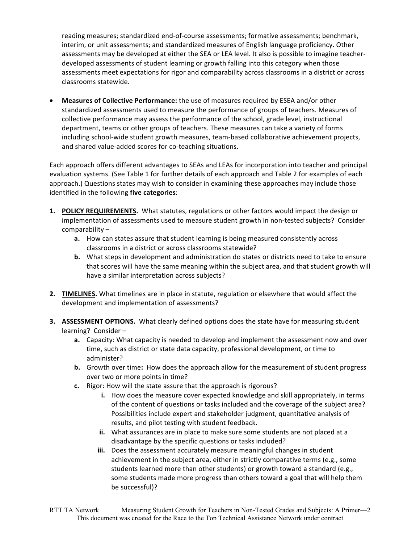reading measures; standardized end-of-course assessments; formative assessments; benchmark, interim, or unit assessments; and standardized measures of English language proficiency. Other assessments may be developed at either the SEA or LEA level. It also is possible to imagine teacherdeveloped assessments of student learning or growth falling into this category when those assessments meet expectations for rigor and comparability across classrooms in a district or across classrooms statewide.

**Measures of Collective Performance:** the use of measures required by ESEA and/or other standardized assessments used to measure the performance of groups of teachers. Measures of collective performance may assess the performance of the school, grade level, instructional department, teams or other groups of teachers. These measures can take a variety of forms including school-wide student growth measures, team-based collaborative achievement projects, and shared value-added scores for co-teaching situations.

Each approach offers different advantages to SEAs and LEAs for incorporation into teacher and principal evaluation systems. (See Table 1 for further details of each approach and Table 2 for examples of each approach.) Questions states may wish to consider in examining these approaches may include those identified in the following five categories:

- **1. POLICY REQUIREMENTS.** What statutes, regulations or other factors would impact the design or implementation of assessments used to measure student growth in non-tested subjects? Consider comparability –
	- **a.** How can states assure that student learning is being measured consistently across classrooms in a district or across classrooms statewide?
	- **b.** What steps in development and administration do states or districts need to take to ensure that scores will have the same meaning within the subject area, and that student growth will have a similar interpretation across subjects?
- **2. TIMELINES.** What timelines are in place in statute, regulation or elsewhere that would affect the development and implementation of assessments?
- **3. ASSESSMENT OPTIONS.** What clearly defined options does the state have for measuring student learning? Consider
	- **a.** Capacity: What capacity is needed to develop and implement the assessment now and over time, such as district or state data capacity, professional development, or time to administer?
	- **b.** Growth over time: How does the approach allow for the measurement of student progress over two or more points in time?
	- **c.** Rigor: How will the state assure that the approach is rigorous?
		- **i.** How does the measure cover expected knowledge and skill appropriately, in terms of the content of questions or tasks included and the coverage of the subject area? Possibilities include expert and stakeholder judgment, quantitative analysis of results, and pilot testing with student feedback.
		- **ii.** What assurances are in place to make sure some students are not placed at a disadvantage by the specific questions or tasks included?
		- **iii.** Does the assessment accurately measure meaningful changes in student achievement in the subject area, either in strictly comparative terms (e.g., some students learned more than other students) or growth toward a standard (e.g., some students made more progress than others toward a goal that will help them be successful)?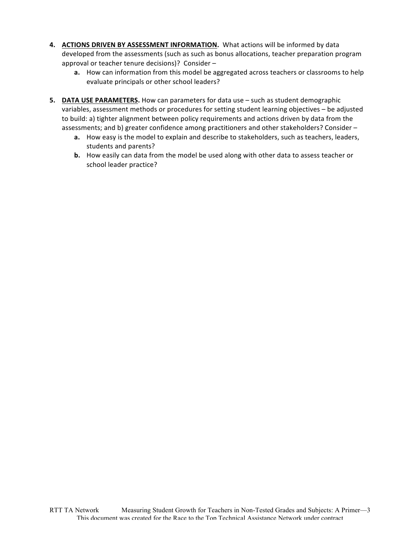- 4. **ACTIONS DRIVEN BY ASSESSMENT INFORMATION.** What actions will be informed by data developed from the assessments (such as such as bonus allocations, teacher preparation program approval or teacher tenure decisions)? Consider –
	- **a.** How can information from this model be aggregated across teachers or classrooms to help evaluate principals or other school leaders?
- **5. DATA USE PARAMETERS.** How can parameters for data use such as student demographic variables, assessment methods or procedures for setting student learning objectives – be adjusted to build: a) tighter alignment between policy requirements and actions driven by data from the assessments; and b) greater confidence among practitioners and other stakeholders? Consider –
	- **a.** How easy is the model to explain and describe to stakeholders, such as teachers, leaders, students and parents?
	- **b.** How easily can data from the model be used along with other data to assess teacher or school leader practice?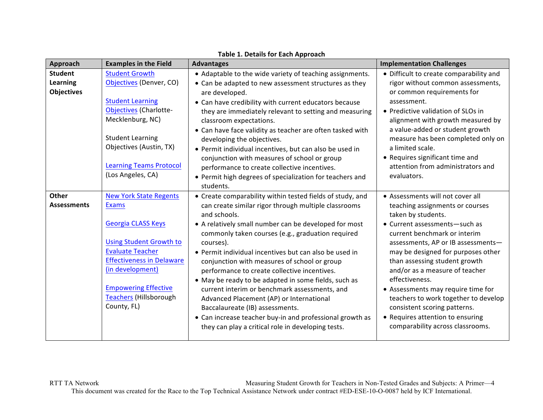| Approach                             | <b>Examples in the Field</b>                                                                                                                                                                                                  | <b>Advantages</b>                                                                                                                                                                                                                                                                                                                                                                                                                                                                                                                                                                           | <b>Implementation Challenges</b>                                                                                                                                                                                                                                                                                                                                                                                     |
|--------------------------------------|-------------------------------------------------------------------------------------------------------------------------------------------------------------------------------------------------------------------------------|---------------------------------------------------------------------------------------------------------------------------------------------------------------------------------------------------------------------------------------------------------------------------------------------------------------------------------------------------------------------------------------------------------------------------------------------------------------------------------------------------------------------------------------------------------------------------------------------|----------------------------------------------------------------------------------------------------------------------------------------------------------------------------------------------------------------------------------------------------------------------------------------------------------------------------------------------------------------------------------------------------------------------|
| <b>Student</b>                       | <b>Student Growth</b>                                                                                                                                                                                                         | • Adaptable to the wide variety of teaching assignments.                                                                                                                                                                                                                                                                                                                                                                                                                                                                                                                                    | • Difficult to create comparability and                                                                                                                                                                                                                                                                                                                                                                              |
| <b>Learning</b><br><b>Objectives</b> | Objectives (Denver, CO)<br><b>Student Learning</b>                                                                                                                                                                            | • Can be adapted to new assessment structures as they<br>are developed.                                                                                                                                                                                                                                                                                                                                                                                                                                                                                                                     | rigor without common assessments,<br>or common requirements for<br>assessment.                                                                                                                                                                                                                                                                                                                                       |
|                                      | <b>Objectives (Charlotte-</b><br>Mecklenburg, NC)<br><b>Student Learning</b><br>Objectives (Austin, TX)<br><b>Learning Teams Protocol</b>                                                                                     | • Can have credibility with current educators because<br>they are immediately relevant to setting and measuring<br>classroom expectations.<br>• Can have face validity as teacher are often tasked with<br>developing the objectives.<br>• Permit individual incentives, but can also be used in<br>conjunction with measures of school or group<br>performance to create collective incentives.                                                                                                                                                                                            | • Predictive validation of SLOs in<br>alignment with growth measured by<br>a value-added or student growth<br>measure has been completed only on<br>a limited scale.<br>• Requires significant time and<br>attention from administrators and                                                                                                                                                                         |
|                                      | (Los Angeles, CA)                                                                                                                                                                                                             | • Permit high degrees of specialization for teachers and<br>students.                                                                                                                                                                                                                                                                                                                                                                                                                                                                                                                       | evaluators.                                                                                                                                                                                                                                                                                                                                                                                                          |
| <b>Other</b><br><b>Assessments</b>   | <b>New York State Regents</b><br><b>Exams</b>                                                                                                                                                                                 | • Create comparability within tested fields of study, and<br>can create similar rigor through multiple classrooms<br>and schools.                                                                                                                                                                                                                                                                                                                                                                                                                                                           | • Assessments will not cover all<br>teaching assignments or courses<br>taken by students.                                                                                                                                                                                                                                                                                                                            |
|                                      | <b>Georgia CLASS Keys</b><br><b>Using Student Growth to</b><br><b>Evaluate Teacher</b><br><b>Effectiveness in Delaware</b><br>(in development)<br><b>Empowering Effective</b><br><b>Teachers (Hillsborough</b><br>County, FL) | • A relatively small number can be developed for most<br>commonly taken courses (e.g., graduation required<br>courses).<br>• Permit individual incentives but can also be used in<br>conjunction with measures of school or group<br>performance to create collective incentives.<br>• May be ready to be adapted in some fields, such as<br>current interim or benchmark assessments, and<br>Advanced Placement (AP) or International<br>Baccalaureate (IB) assessments.<br>• Can increase teacher buy-in and professional growth as<br>they can play a critical role in developing tests. | • Current assessments-such as<br>current benchmark or interim<br>assessments, AP or IB assessments-<br>may be designed for purposes other<br>than assessing student growth<br>and/or as a measure of teacher<br>effectiveness.<br>• Assessments may require time for<br>teachers to work together to develop<br>consistent scoring patterns.<br>• Requires attention to ensuring<br>comparability across classrooms. |

## **Table 1. Details for Each Approach**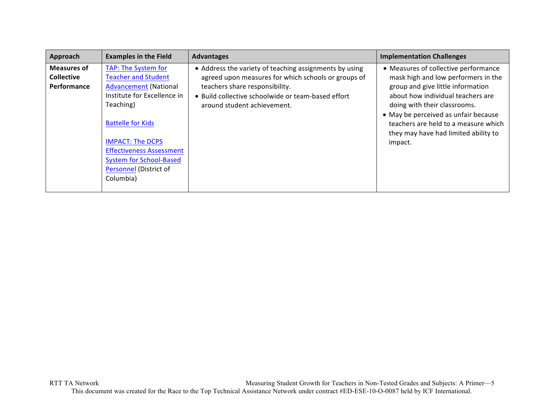| Approach           | <b>Examples in the Field</b>    | <b>Advantages</b>                                      | <b>Implementation Challenges</b>                                                                                     |
|--------------------|---------------------------------|--------------------------------------------------------|----------------------------------------------------------------------------------------------------------------------|
| <b>Measures of</b> | TAP: The System for             | • Address the variety of teaching assignments by using | • Measures of collective performance                                                                                 |
| <b>Collective</b>  | <b>Teacher and Student</b>      | agreed upon measures for which schools or groups of    | mask high and low performers in the                                                                                  |
| Performance        | <b>Advancement (National</b>    | teachers share responsibility.                         | group and give little information                                                                                    |
|                    | Institute for Excellence in     | . Build collective schoolwide or team-based effort     | about how individual teachers are                                                                                    |
|                    | Teaching)                       | around student achievement.                            | doing with their classrooms.                                                                                         |
|                    | <b>Battelle for Kids</b>        |                                                        | • May be perceived as unfair because<br>teachers are held to a measure which<br>they may have had limited ability to |
|                    | <b>IMPACT: The DCPS</b>         |                                                        | impact.                                                                                                              |
|                    | <b>Effectiveness Assessment</b> |                                                        |                                                                                                                      |
|                    | <b>System for School-Based</b>  |                                                        |                                                                                                                      |
|                    | Personnel (District of          |                                                        |                                                                                                                      |
|                    | Columbia)                       |                                                        |                                                                                                                      |
|                    |                                 |                                                        |                                                                                                                      |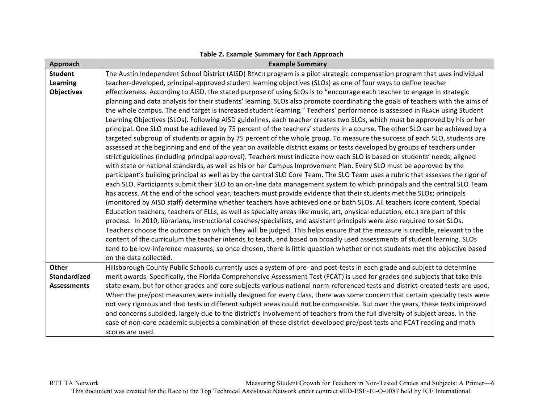| Approach            | <b>Example Summary</b>                                                                                                          |  |  |  |
|---------------------|---------------------------------------------------------------------------------------------------------------------------------|--|--|--|
| <b>Student</b>      | The Austin Independent School District (AISD) REACH program is a pilot strategic compensation program that uses individual      |  |  |  |
| Learning            | teacher-developed, principal-approved student learning objectives (SLOs) as one of four ways to define teacher                  |  |  |  |
| <b>Objectives</b>   | effectiveness. According to AISD, the stated purpose of using SLOs is to "encourage each teacher to engage in strategic         |  |  |  |
|                     | planning and data analysis for their students' learning. SLOs also promote coordinating the goals of teachers with the aims of  |  |  |  |
|                     | the whole campus. The end target is increased student learning." Teachers' performance is assessed in REACH using Student       |  |  |  |
|                     | Learning Objectives (SLOs). Following AISD guidelines, each teacher creates two SLOs, which must be approved by his or her      |  |  |  |
|                     | principal. One SLO must be achieved by 75 percent of the teachers' students in a course. The other SLO can be achieved by a     |  |  |  |
|                     | targeted subgroup of students or again by 75 percent of the whole group. To measure the success of each SLO, students are       |  |  |  |
|                     | assessed at the beginning and end of the year on available district exams or tests developed by groups of teachers under        |  |  |  |
|                     | strict guidelines (including principal approval). Teachers must indicate how each SLO is based on students' needs, aligned      |  |  |  |
|                     | with state or national standards, as well as his or her Campus Improvement Plan. Every SLO must be approved by the              |  |  |  |
|                     | participant's building principal as well as by the central SLO Core Team. The SLO Team uses a rubric that assesses the rigor of |  |  |  |
|                     | each SLO. Participants submit their SLO to an on-line data management system to which principals and the central SLO Team       |  |  |  |
|                     | has access. At the end of the school year, teachers must provide evidence that their students met the SLOs; principals          |  |  |  |
|                     | (monitored by AISD staff) determine whether teachers have achieved one or both SLOs. All teachers (core content, Special        |  |  |  |
|                     | Education teachers, teachers of ELLs, as well as specialty areas like music, art, physical education, etc.) are part of this    |  |  |  |
|                     | process. In 2010, librarians, instructional coaches/specialists, and assistant principals were also required to set SLOs.       |  |  |  |
|                     | Teachers choose the outcomes on which they will be judged. This helps ensure that the measure is credible, relevant to the      |  |  |  |
|                     | content of the curriculum the teacher intends to teach, and based on broadly used assessments of student learning. SLOs         |  |  |  |
|                     | tend to be low-inference measures, so once chosen, there is little question whether or not students met the objective based     |  |  |  |
|                     | on the data collected.                                                                                                          |  |  |  |
| Other               | Hillsborough County Public Schools currently uses a system of pre- and post-tests in each grade and subject to determine        |  |  |  |
| <b>Standardized</b> | merit awards. Specifically, the Florida Comprehensive Assessment Test (FCAT) is used for grades and subjects that take this     |  |  |  |
| <b>Assessments</b>  | state exam, but for other grades and core subjects various national norm-referenced tests and district-created tests are used.  |  |  |  |
|                     | When the pre/post measures were initially designed for every class, there was some concern that certain specialty tests were    |  |  |  |
|                     | not very rigorous and that tests in different subject areas could not be comparable. But over the years, these tests improved   |  |  |  |
|                     | and concerns subsided, largely due to the district's involvement of teachers from the full diversity of subject areas. In the   |  |  |  |
|                     | case of non-core academic subjects a combination of these district-developed pre/post tests and FCAT reading and math           |  |  |  |
|                     | scores are used.                                                                                                                |  |  |  |

## Table 2. Example Summary for Each Approach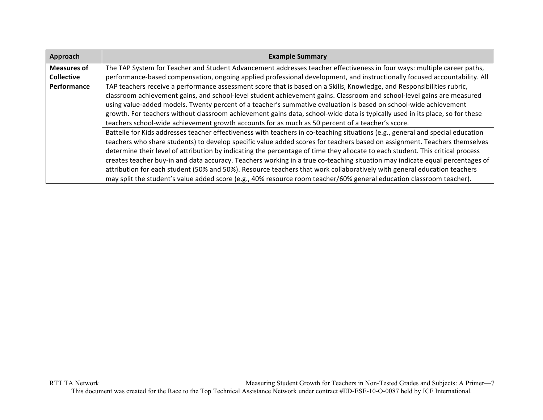| Approach           | <b>Example Summary</b>                                                                                                         |
|--------------------|--------------------------------------------------------------------------------------------------------------------------------|
| <b>Measures of</b> | The TAP System for Teacher and Student Advancement addresses teacher effectiveness in four ways: multiple career paths,        |
| <b>Collective</b>  | performance-based compensation, ongoing applied professional development, and instructionally focused accountability. All      |
| Performance        | TAP teachers receive a performance assessment score that is based on a Skills, Knowledge, and Responsibilities rubric,         |
|                    | classroom achievement gains, and school-level student achievement gains. Classroom and school-level gains are measured         |
|                    | using value-added models. Twenty percent of a teacher's summative evaluation is based on school-wide achievement               |
|                    | growth. For teachers without classroom achievement gains data, school-wide data is typically used in its place, so for these   |
|                    | teachers school-wide achievement growth accounts for as much as 50 percent of a teacher's score.                               |
|                    | Battelle for Kids addresses teacher effectiveness with teachers in co-teaching situations (e.g., general and special education |
|                    | teachers who share students) to develop specific value added scores for teachers based on assignment. Teachers themselves      |
|                    | determine their level of attribution by indicating the percentage of time they allocate to each student. This critical process |
|                    | creates teacher buy-in and data accuracy. Teachers working in a true co-teaching situation may indicate equal percentages of   |
|                    | attribution for each student (50% and 50%). Resource teachers that work collaboratively with general education teachers        |
|                    | may split the student's value added score (e.g., 40% resource room teacher/60% general education classroom teacher).           |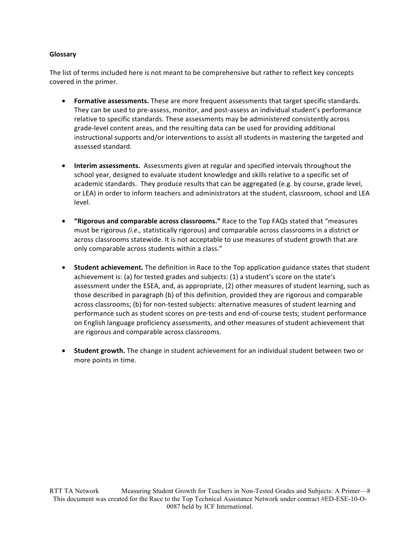### **Glossary**

The list of terms included here is not meant to be comprehensive but rather to reflect key concepts covered in the primer.

- Formative assessments. These are more frequent assessments that target specific standards. They can be used to pre-assess, monitor, and post-assess an individual student's performance relative to specific standards. These assessments may be administered consistently across grade-level content areas, and the resulting data can be used for providing additional instructional supports and/or interventions to assist all students in mastering the targeted and assessed standard.
- Interim assessments. Assessments given at regular and specified intervals throughout the school year, designed to evaluate student knowledge and skills relative to a specific set of academic standards. They produce results that can be aggregated (e.g. by course, grade level, or LEA) in order to inform teachers and administrators at the student, classroom, school and LEA level.
- **"Rigorous and comparable across classrooms."** Race to the Top FAQs stated that "measures must be rigorous *(i.e.,* statistically rigorous) and comparable across classrooms in a district or across classrooms statewide. It is not acceptable to use measures of student growth that are only comparable across students within a class."
- **Student achievement.** The definition in Race to the Top application guidance states that student achievement is: (a) for tested grades and subjects:  $(1)$  a student's score on the state's assessment under the ESEA, and, as appropriate, (2) other measures of student learning, such as those described in paragraph (b) of this definition, provided they are rigorous and comparable across classrooms; (b) for non-tested subjects: alternative measures of student learning and performance such as student scores on pre-tests and end-of-course tests; student performance on English language proficiency assessments, and other measures of student achievement that are rigorous and comparable across classrooms.
- **Student growth.** The change in student achievement for an individual student between two or more points in time.